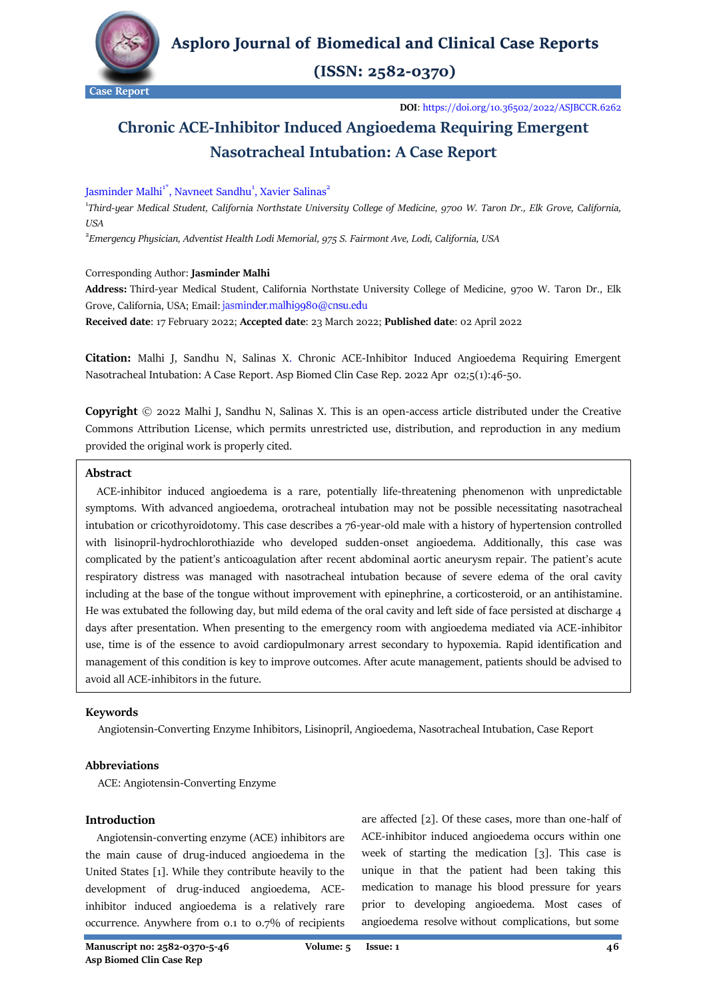

 $(ISSN: 2582-0370)$ 

**DOI**[: https://doi.org/10.36502/2022/ASJBCCR.6262](https://doi.org/10.36502/2022/ASJBCCR.6262)

# **Chronic ACE-Inhibitor Induced Angioedema Requiring Emergent Nasotracheal Intubation: A Case Report**

## Jasminder Malhi<sup>1\*</sup>, Navneet Sandhu<sup>1</sup>, Xavier Salinas<sup>2</sup>

<sup>1</sup>Third-year Medical Student, [California Northstate University College of Medicine,](https://medicine.cnsu.edu/) 9700 W. Taron Dr., Elk Grove, California, *USA*

2 *Emergency Physician[, Adventist Health Lodi Memorial,](https://www.adventisthealth.org/lodi-memorial/) 975 S. Fairmont Ave, Lodi, California, USA*

#### Corresponding Author: **Jasminder Malhi**

**Address:** Third-year Medical Student, California Northstate University College of Medicine, 9700 W. Taron Dr., Elk Grove, California, USA; Email: jasminder.malhi9980@cnsu.edu

**Received date**: 17 February 2022; **Accepted date**: 23 March 2022; **Published date**: 02 April 2022

**Citation:** Malhi J, Sandhu N, Salinas X. Chronic ACE-Inhibitor Induced Angioedema Requiring Emergent Nasotracheal Intubation: A Case Report. Asp Biomed Clin Case Rep. 2022 Apr 02;5(1):46-50.

**Copyright** © 2022 Malhi J, Sandhu N, Salinas X. This is an open-access article distributed under the Creative Commons Attribution License, which permits unrestricted use, distribution, and reproduction in any medium provided the original work is properly cited.

## **Abstract**

 ACE-inhibitor induced angioedema is a rare, potentially life-threatening phenomenon with unpredictable symptoms. With advanced angioedema, orotracheal intubation may not be possible necessitating nasotracheal intubation or cricothyroidotomy. This case describes a 76-year-old male with a history of hypertension controlled with lisinopril-hydrochlorothiazide who developed sudden-onset angioedema. Additionally, this case was complicated by the patient's anticoagulation after recent abdominal aortic aneurysm repair. The patient's acute respiratory distress was managed with nasotracheal intubation because of severe edema of the oral cavity including at the base of the tongue without improvement with epinephrine, a corticosteroid, or an antihistamine. He was extubated the following day, but mild edema of the oral cavity and left side of face persisted at discharge 4 days after presentation. When presenting to the emergency room with angioedema mediated via ACE-inhibitor use, time is of the essence to avoid cardiopulmonary arrest secondary to hypoxemia. Rapid identification and management of this condition is key to improve outcomes. After acute management, patients should be advised to avoid all ACE-inhibitors in the future.

## **Keywords**

Angiotensin-Converting Enzyme Inhibitors, Lisinopril, Angioedema, Nasotracheal Intubation, Case Report

## **Abbreviations**

ACE: Angiotensin-Converting Enzyme

## **Introduction**

 Angiotensin-converting enzyme (ACE) inhibitors are the main cause of drug-induced angioedema in the United States [1]. While they contribute heavily to the development of drug-induced angioedema, ACEinhibitor induced angioedema is a relatively rare occurrence. Anywhere from 0.1 to 0.7% of recipients are affected [2]. Of these cases, more than one-half of ACE-inhibitor induced angioedema occurs within one week of starting the medication [3]. This case is unique in that the patient had been taking this medication to manage his blood pressure for years prior to developing angioedema. Most cases of angioedema resolve without complications, but some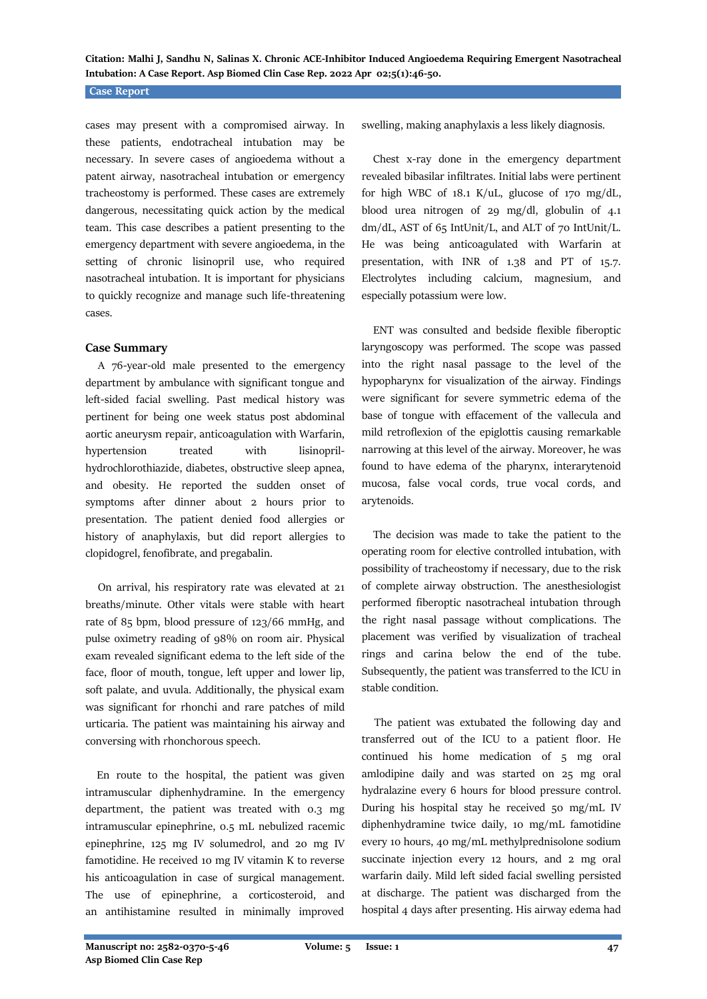## **Case Report**

cases may present with a compromised airway. In these patients, endotracheal intubation may be necessary. In severe cases of angioedema without a patent airway, nasotracheal intubation or emergency tracheostomy is performed. These cases are extremely dangerous, necessitating quick action by the medical team. This case describes a patient presenting to the emergency department with severe angioedema, in the setting of chronic lisinopril use, who required nasotracheal intubation. It is important for physicians to quickly recognize and manage such life-threatening cases.

#### **Case Summary**

 A 76-year-old male presented to the emergency department by ambulance with significant tongue and left-sided facial swelling. Past medical history was pertinent for being one week status post abdominal aortic aneurysm repair, anticoagulation with Warfarin, hypertension treated with lisinoprilhydrochlorothiazide, diabetes, obstructive sleep apnea, and obesity. He reported the sudden onset of symptoms after dinner about 2 hours prior to presentation. The patient denied food allergies or history of anaphylaxis, but did report allergies to clopidogrel, fenofibrate, and pregabalin.

 On arrival, his respiratory rate was elevated at 21 breaths/minute. Other vitals were stable with heart rate of 85 bpm, blood pressure of 123/66 mmHg, and pulse oximetry reading of 98% on room air. Physical exam revealed significant edema to the left side of the face, floor of mouth, tongue, left upper and lower lip, soft palate, and uvula. Additionally, the physical exam was significant for rhonchi and rare patches of mild urticaria. The patient was maintaining his airway and conversing with rhonchorous speech.

 En route to the hospital, the patient was given intramuscular diphenhydramine. In the emergency department, the patient was treated with 0.3 mg intramuscular epinephrine, 0.5 mL nebulized racemic epinephrine, 125 mg IV solumedrol, and 20 mg IV famotidine. He received 10 mg IV vitamin K to reverse his anticoagulation in case of surgical management. The use of epinephrine, a corticosteroid, and an antihistamine resulted in minimally improved swelling, making anaphylaxis a less likely diagnosis.

 Chest x-ray done in the emergency department revealed bibasilar infiltrates. Initial labs were pertinent for high WBC of  $18.1$  K/uL, glucose of  $170 \text{ mg/dL}$ , blood urea nitrogen of 29 mg/dl, globulin of 4.1 dm/dL, AST of 65 IntUnit/L, and ALT of 70 IntUnit/L. He was being anticoagulated with Warfarin at presentation, with INR of 1.38 and PT of 15.7. Electrolytes including calcium, magnesium, and especially potassium were low.

 ENT was consulted and bedside flexible fiberoptic laryngoscopy was performed. The scope was passed into the right nasal passage to the level of the hypopharynx for visualization of the airway. Findings were significant for severe symmetric edema of the base of tongue with effacement of the vallecula and mild retroflexion of the epiglottis causing remarkable narrowing at this level of the airway. Moreover, he was found to have edema of the pharynx, interarytenoid mucosa, false vocal cords, true vocal cords, and arytenoids.

 The decision was made to take the patient to the operating room for elective controlled intubation, with possibility of tracheostomy if necessary, due to the risk of complete airway obstruction. The anesthesiologist performed fiberoptic nasotracheal intubation through the right nasal passage without complications. The placement was verified by visualization of tracheal rings and carina below the end of the tube. Subsequently, the patient was transferred to the ICU in stable condition.

 The patient was extubated the following day and transferred out of the ICU to a patient floor. He continued his home medication of 5 mg oral amlodipine daily and was started on 25 mg oral hydralazine every 6 hours for blood pressure control. During his hospital stay he received 50 mg/mL IV diphenhydramine twice daily, 10 mg/mL famotidine every 10 hours, 40 mg/mL methylprednisolone sodium succinate injection every 12 hours, and 2 mg oral warfarin daily. Mild left sided facial swelling persisted at discharge. The patient was discharged from the hospital 4 days after presenting. His airway edema had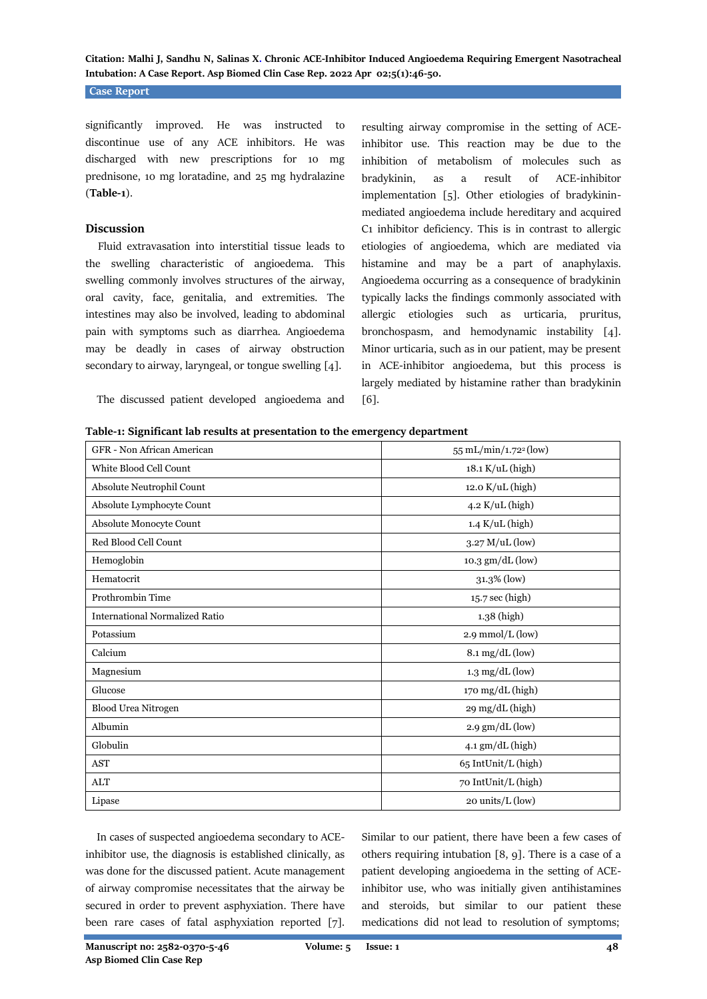## **Case Report**

significantly improved. He was instructed to discontinue use of any ACE inhibitors. He was discharged with new prescriptions for 10 mg prednisone, 10 mg loratadine, and 25 mg hydralazine (**Table-1**).

#### **Discussion**

 Fluid extravasation into interstitial tissue leads to the swelling characteristic of angioedema. This swelling commonly involves structures of the airway, oral cavity, face, genitalia, and extremities. The intestines may also be involved, leading to abdominal pain with symptoms such as diarrhea. Angioedema may be deadly in cases of airway obstruction secondary to airway, laryngeal, or tongue swelling [4].

resulting airway compromise in the setting of ACEinhibitor use. This reaction may be due to the inhibition of metabolism of molecules such as bradykinin, as a result of ACE-inhibitor implementation [5]. Other etiologies of bradykininmediated angioedema include hereditary and acquired C1 inhibitor deficiency. This is in contrast to allergic etiologies of angioedema, which are mediated via histamine and may be a part of anaphylaxis. Angioedema occurring as a consequence of bradykinin typically lacks the findings commonly associated with allergic etiologies such as urticaria, pruritus, bronchospasm, and hemodynamic instability [4]. Minor urticaria, such as in our patient, may be present in ACE-inhibitor angioedema, but this process is largely mediated by histamine rather than bradykinin [6].

The discussed patient developed angioedema and

**Table-1: Significant lab results at presentation to the emergency department**

| GFR - Non African American            | 55 mL/min/1.72 <sup>2</sup> (low) |
|---------------------------------------|-----------------------------------|
| White Blood Cell Count                | 18.1 K/uL (high)                  |
| Absolute Neutrophil Count             | 12.0 K/uL (high)                  |
| Absolute Lymphocyte Count             | $4.2$ K/uL (high)                 |
| Absolute Monocyte Count               | $1.4$ K/uL (high)                 |
| Red Blood Cell Count                  | $3.27$ M/uL (low)                 |
| Hemoglobin                            | 10.3 gm/dL (low)                  |
| Hematocrit                            | 31.3% (low)                       |
| Prothrombin Time                      | $15.7 \text{ sec}$ (high)         |
| <b>International Normalized Ratio</b> | 1.38 (high)                       |
| Potassium                             | 2.9 mmol/L (low)                  |
| Calcium                               | $8.1 \text{ mg/dL}$ (low)         |
| Magnesium                             | $1.3 \text{ mg/dL}$ (low)         |
| Glucose                               | 170 mg/dL (high)                  |
| <b>Blood Urea Nitrogen</b>            | 29 mg/dL (high)                   |
| Albumin                               | $2.9$ gm/dL (low)                 |
| Globulin                              | 4.1 gm/dL (high)                  |
| <b>AST</b>                            | 65 IntUnit/L (high)               |
| <b>ALT</b>                            | 70 IntUnit/L (high)               |
| Lipase                                | $20 \text{ units/L}$ (low)        |
|                                       |                                   |

 In cases of suspected angioedema secondary to ACEinhibitor use, the diagnosis is established clinically, as was done for the discussed patient. Acute management of airway compromise necessitates that the airway be secured in order to prevent asphyxiation. There have been rare cases of fatal asphyxiation reported [7]. Similar to our patient, there have been a few cases of others requiring intubation [8, 9]. There is a case of a patient developing angioedema in the setting of ACEinhibitor use, who was initially given antihistamines and steroids, but similar to our patient these medications did not lead to resolution of symptoms;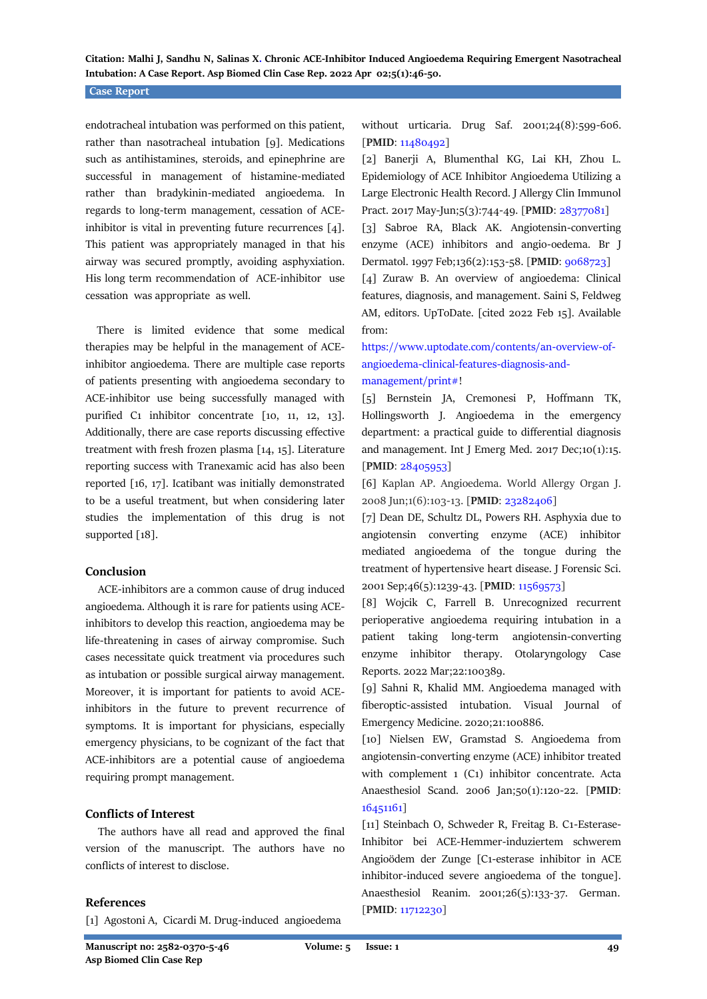### **Case Report**

endotracheal intubation was performed on this patient, rather than nasotracheal intubation [9]. Medications such as antihistamines, steroids, and epinephrine are successful in management of histamine-mediated rather than bradykinin-mediated angioedema. In regards to long-term management, cessation of ACEinhibitor is vital in preventing future recurrences [4]. This patient was appropriately managed in that his airway was secured promptly, avoiding asphyxiation. His long term recommendation of ACE-inhibitor use cessation was appropriate as well.

 There is limited evidence that some medical therapies may be helpful in the management of ACEinhibitor angioedema. There are multiple case reports of patients presenting with angioedema secondary to ACE-inhibitor use being successfully managed with purified C1 inhibitor concentrate [10, 11, 12, 13]. Additionally, there are case reports discussing effective treatment with fresh frozen plasma [14, 15]. Literature reporting success with Tranexamic acid has also been reported [16, 17]. Icatibant was initially demonstrated to be a useful treatment, but when considering later studies the implementation of this drug is not supported [18].

#### **Conclusion**

 ACE-inhibitors are a common cause of drug induced angioedema. Although it is rare for patients using ACEinhibitors to develop this reaction, angioedema may be life-threatening in cases of airway compromise. Such cases necessitate quick treatment via procedures such as intubation or possible surgical airway management. Moreover, it is important for patients to avoid ACEinhibitors in the future to prevent recurrence of symptoms. It is important for physicians, especially emergency physicians, to be cognizant of the fact that ACE-inhibitors are a potential cause of angioedema requiring prompt management.

## **Conflicts of Interest**

 The authors have all read and approved the final version of the manuscript. The authors have no conflicts of interest to disclose.

#### **References**

[1] Agostoni A, Cicardi M. Drug-induced angioedema

without urticaria. Drug Saf. 2001;24(8):599-606. [**PMID**: [11480492\]](https://pubmed.ncbi.nlm.nih.gov/11480492/)

[2] Banerji A, Blumenthal KG, Lai KH, Zhou L. Epidemiology of ACE Inhibitor Angioedema Utilizing a Large Electronic Health Record. J Allergy Clin Immunol Pract. 2017 May-Jun;5(3):744-49. [**PMID**: [28377081\]](https://pubmed.ncbi.nlm.nih.gov/28377081/)

[3] Sabroe RA, Black AK. Angiotensin-converting enzyme (ACE) inhibitors and angio-oedema. Br J Dermatol. 1997 Feb;136(2):153-58. [**PMID**: [9068723\]](https://pubmed.ncbi.nlm.nih.gov/9068723/)

[4] Zuraw B. An overview of angioedema: Clinical features, diagnosis, and management. Saini S, Feldweg AM, editors. UpToDate. [cited 2022 Feb 15]. Available from:

## [https://www.uptodate.com/contents/an-overview-of](https://www.uptodate.com/contents/an-overview-of-angioedema-clinical-features-diagnosis-and-management/print)[angioedema-clinical-features-diagnosis-and](https://www.uptodate.com/contents/an-overview-of-angioedema-clinical-features-diagnosis-and-management/print)[management/print#!](https://www.uptodate.com/contents/an-overview-of-angioedema-clinical-features-diagnosis-and-management/print)

[5] Bernstein JA, Cremonesi P, Hoffmann TK, Hollingsworth J. Angioedema in the emergency department: a practical guide to differential diagnosis and management. Int J Emerg Med. 2017 Dec;10(1):15. [**PMID**: [28405953\]](https://pubmed.ncbi.nlm.nih.gov/28405953/)

[6] Kaplan AP. Angioedema. World Allergy Organ J. 2008 Jun;1(6):103-13. [**PMID**: [23282406\]](https://pubmed.ncbi.nlm.nih.gov/23282406/)

[7] Dean DE, Schultz DL, Powers RH. Asphyxia due to angiotensin converting enzyme (ACE) inhibitor mediated angioedema of the tongue during the treatment of hypertensive heart disease. J Forensic Sci. 2001 Sep;46(5):1239-43. [**PMID**[: 11569573\]](https://pubmed.ncbi.nlm.nih.gov/11569573/)

[8] Wojcik C, Farrell B. Unrecognized recurrent perioperative angioedema requiring intubation in a patient taking long-term angiotensin-converting enzyme inhibitor therapy. Otolaryngology Case Reports. 2022 Mar;22:100389.

[9] Sahni R, Khalid MM. Angioedema managed with fiberoptic-assisted intubation. Visual Journal of Emergency Medicine. 2020;21:100886.

[10] Nielsen EW, Gramstad S. Angioedema from angiotensin-converting enzyme (ACE) inhibitor treated with complement 1 (C1) inhibitor concentrate. Acta Anaesthesiol Scand. 2006 Jan;50(1):120-22. [**PMID**: [16451161\]](https://pubmed.ncbi.nlm.nih.gov/16451161/)

[11] Steinbach O, Schweder R, Freitag B. C1-Esterase-Inhibitor bei ACE-Hemmer-induziertem schwerem Angioödem der Zunge [C1-esterase inhibitor in ACE inhibitor-induced severe angioedema of the tongue]. Anaesthesiol Reanim. 2001;26(5):133-37. German. [**PMID**: [11712230\]](https://pubmed.ncbi.nlm.nih.gov/11712230/)